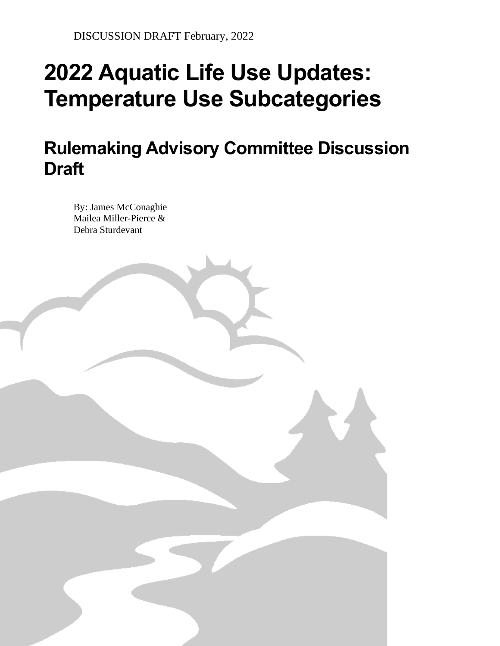State of Oregon Department of Environmental Quality

# **2022 Aquatic Life Use Updates: Temperature Use Subcategories**

**Rulemaking Advisory Committee Discussion Draft** 

By: James McConaghie Mailea Miller-Pierce & Debra Sturdevant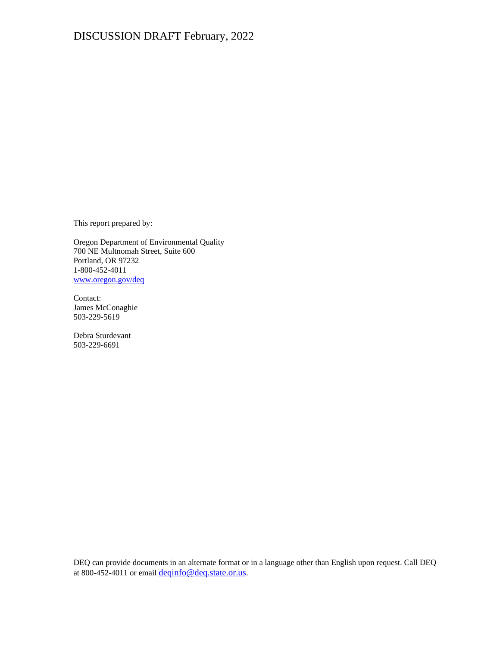This report prepared by:

Oregon Department of Environmental Quality 700 NE Multnomah Street, Suite 600 Portland, OR 97232 1-800-452-4011 [www.oregon.gov/deq](http://www.oregon.gov/deq)

Contact: James McConaghie 503-229-5619

Debra Sturdevant 503-229-6691

DEQ can provide documents in an alternate format or in a language other than English upon request. Call DEQ at 800-452-4011 or email [deqinfo@deq.state.or.us](mailto:deqinfo@deq.state.or.us).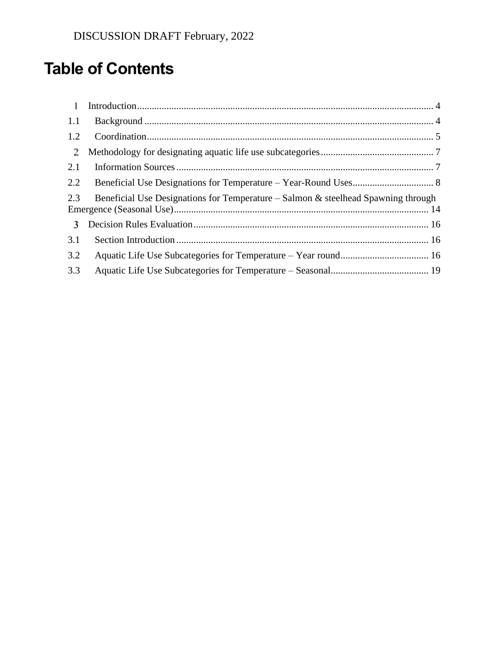# **Table of Contents**

| $\overline{1}$ |                                                                                   |  |
|----------------|-----------------------------------------------------------------------------------|--|
| 1.1            |                                                                                   |  |
| 1.2            |                                                                                   |  |
| $\mathbf{2}$   |                                                                                   |  |
| 2.1            |                                                                                   |  |
| 2.2            |                                                                                   |  |
| 2.3            | Beneficial Use Designations for Temperature – Salmon & steelhead Spawning through |  |
| $\mathbf{3}$   |                                                                                   |  |
| 3.1            |                                                                                   |  |
| 3.2            |                                                                                   |  |
| 3.3            |                                                                                   |  |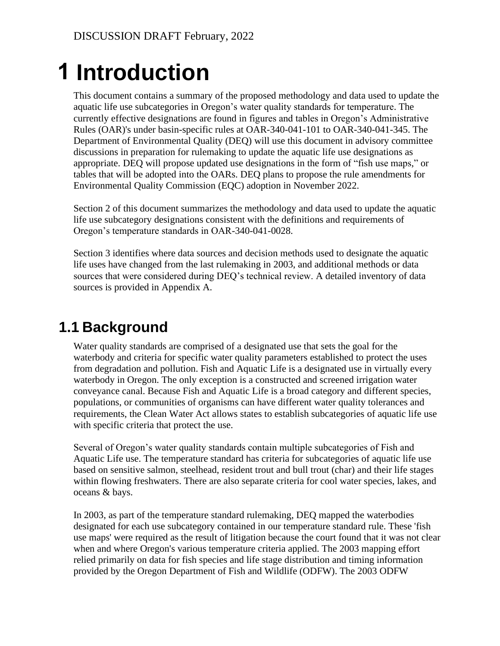# <span id="page-3-0"></span>**Introduction 1**

This document contains a summary of the proposed methodology and data used to update the aquatic life use subcategories in Oregon's water quality standards for temperature. The currently effective designations are found in figures and tables in Oregon's Administrative Rules (OAR)'s under basin-specific rules at OAR-340-041-101 to OAR-340-041-345. The Department of Environmental Quality (DEQ) will use this document in advisory committee discussions in preparation for rulemaking to update the aquatic life use designations as appropriate. DEQ will propose updated use designations in the form of "fish use maps," or tables that will be adopted into the OARs. DEQ plans to propose the rule amendments for Environmental Quality Commission (EQC) adoption in November 2022.

Section 2 of this document summarizes the methodology and data used to update the aquatic life use subcategory designations consistent with the definitions and requirements of Oregon's temperature standards in OAR-340-041-0028.

Section 3 identifies where data sources and decision methods used to designate the aquatic life uses have changed from the last rulemaking in 2003, and additional methods or data sources that were considered during DEQ's technical review. A detailed inventory of data sources is provided in Appendix A.

# <span id="page-3-1"></span>**1.1 Background**

Water quality standards are comprised of a designated use that sets the goal for the waterbody and criteria for specific water quality parameters established to protect the uses from degradation and pollution. Fish and Aquatic Life is a designated use in virtually every waterbody in Oregon. The only exception is a constructed and screened irrigation water conveyance canal. Because Fish and Aquatic Life is a broad category and different species, populations, or communities of organisms can have different water quality tolerances and requirements, the Clean Water Act allows states to establish subcategories of aquatic life use with specific criteria that protect the use.

Several of Oregon's water quality standards contain multiple subcategories of Fish and Aquatic Life use. The temperature standard has criteria for subcategories of aquatic life use based on sensitive salmon, steelhead, resident trout and bull trout (char) and their life stages within flowing freshwaters. There are also separate criteria for cool water species, lakes, and oceans & bays.

In 2003, as part of the temperature standard rulemaking, DEQ mapped the waterbodies designated for each use subcategory contained in our temperature standard rule. These 'fish use maps' were required as the result of litigation because the court found that it was not clear when and where Oregon's various temperature criteria applied. The 2003 mapping effort relied primarily on data for fish species and life stage distribution and timing information provided by the Oregon Department of Fish and Wildlife (ODFW). The 2003 ODFW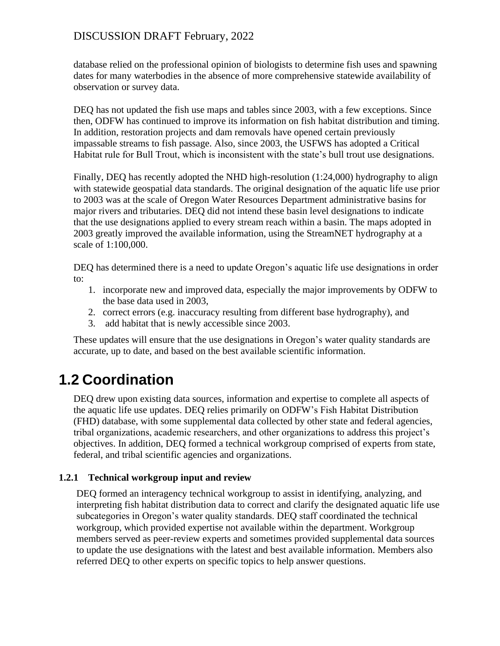database relied on the professional opinion of biologists to determine fish uses and spawning dates for many waterbodies in the absence of more comprehensive statewide availability of observation or survey data.

DEQ has not updated the fish use maps and tables since 2003, with a few exceptions. Since then, ODFW has continued to improve its information on fish habitat distribution and timing. In addition, restoration projects and dam removals have opened certain previously impassable streams to fish passage. Also, since 2003, the USFWS has adopted a Critical Habitat rule for Bull Trout, which is inconsistent with the state's bull trout use designations.

Finally, DEQ has recently adopted the NHD high-resolution (1:24,000) hydrography to align with statewide geospatial data standards. The original designation of the aquatic life use prior to 2003 was at the scale of Oregon Water Resources Department administrative basins for major rivers and tributaries. DEQ did not intend these basin level designations to indicate that the use designations applied to every stream reach within a basin. The maps adopted in 2003 greatly improved the available information, using the StreamNET hydrography at a scale of 1:100,000.

DEQ has determined there is a need to update Oregon's aquatic life use designations in order to:

- 1. incorporate new and improved data, especially the major improvements by ODFW to the base data used in 2003,
- 2. correct errors (e.g. inaccuracy resulting from different base hydrography), and
- 3. add habitat that is newly accessible since 2003.

These updates will ensure that the use designations in Oregon's water quality standards are accurate, up to date, and based on the best available scientific information.

# <span id="page-4-0"></span>**1.2 Coordination**

DEQ drew upon existing data sources, information and expertise to complete all aspects of the aquatic life use updates. DEQ relies primarily on ODFW's Fish Habitat Distribution (FHD) database, with some supplemental data collected by other state and federal agencies, tribal organizations, academic researchers, and other organizations to address this project's objectives. In addition, DEQ formed a technical workgroup comprised of experts from state, federal, and tribal scientific agencies and organizations.

### **1.2.1 Technical workgroup input and review**

DEQ formed an interagency technical workgroup to assist in identifying, analyzing, and interpreting fish habitat distribution data to correct and clarify the designated aquatic life use subcategories in Oregon's water quality standards. DEQ staff coordinated the technical workgroup, which provided expertise not available within the department. Workgroup members served as peer-review experts and sometimes provided supplemental data sources to update the use designations with the latest and best available information. Members also referred DEQ to other experts on specific topics to help answer questions.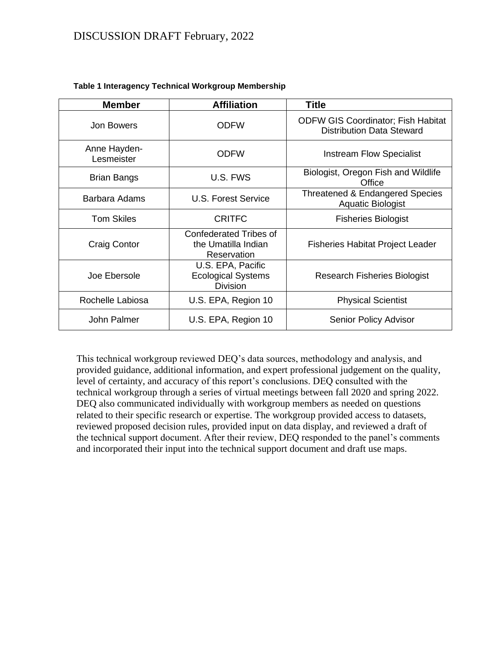| <b>Member</b>              | <b>Affiliation</b>                                                  | <b>Title</b>                                                                  |
|----------------------------|---------------------------------------------------------------------|-------------------------------------------------------------------------------|
| <b>Jon Bowers</b>          | <b>ODFW</b>                                                         | <b>ODFW GIS Coordinator; Fish Habitat</b><br><b>Distribution Data Steward</b> |
| Anne Hayden-<br>Lesmeister | <b>ODFW</b>                                                         | <b>Instream Flow Specialist</b>                                               |
| <b>Brian Bangs</b>         | U.S. FWS                                                            | Biologist, Oregon Fish and Wildlife<br>Office                                 |
| Barbara Adams              | <b>U.S. Forest Service</b>                                          | <b>Threatened &amp; Endangered Species</b><br><b>Aquatic Biologist</b>        |
| <b>Tom Skiles</b>          | <b>CRITFC</b>                                                       | <b>Fisheries Biologist</b>                                                    |
| Craig Contor               | <b>Confederated Tribes of</b><br>the Umatilla Indian<br>Reservation | <b>Fisheries Habitat Project Leader</b>                                       |
| Joe Ebersole               | U.S. EPA, Pacific<br><b>Ecological Systems</b><br><b>Division</b>   | <b>Research Fisheries Biologist</b>                                           |
| Rochelle Labiosa           | U.S. EPA, Region 10                                                 | <b>Physical Scientist</b>                                                     |
| John Palmer                | U.S. EPA, Region 10                                                 | <b>Senior Policy Advisor</b>                                                  |

#### **Table 1 Interagency Technical Workgroup Membership**

This technical workgroup reviewed DEQ's data sources, methodology and analysis, and provided guidance, additional information, and expert professional judgement on the quality, level of certainty, and accuracy of this report's conclusions. DEQ consulted with the technical workgroup through a series of virtual meetings between fall 2020 and spring 2022. DEQ also communicated individually with workgroup members as needed on questions related to their specific research or expertise. The workgroup provided access to datasets, reviewed proposed decision rules, provided input on data display, and reviewed a draft of the technical support document. After their review, DEQ responded to the panel's comments and incorporated their input into the technical support document and draft use maps.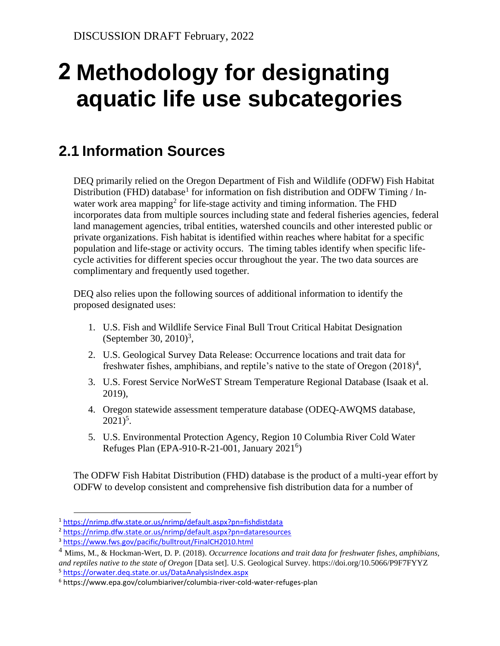# <span id="page-6-0"></span>**Methodology for designating 2aquatic life use subcategories**

# <span id="page-6-1"></span>**2.1 Information Sources**

DEQ primarily relied on the Oregon Department of Fish and Wildlife (ODFW) Fish Habitat Distribution (FHD) database<sup>1</sup> for information on fish distribution and ODFW Timing / Inwater work area mapping<sup>2</sup> for life-stage activity and timing information. The FHD incorporates data from multiple sources including state and federal fisheries agencies, federal land management agencies, tribal entities, watershed councils and other interested public or private organizations. Fish habitat is identified within reaches where habitat for a specific population and life-stage or activity occurs. The timing tables identify when specific lifecycle activities for different species occur throughout the year. The two data sources are complimentary and frequently used together.

DEQ also relies upon the following sources of additional information to identify the proposed designated uses:

- 1. U.S. Fish and Wildlife Service Final Bull Trout Critical Habitat Designation (September 30, 2010)<sup>3</sup>,
- 2. U.S. Geological Survey Data Release: Occurrence locations and trait data for freshwater fishes, amphibians, and reptile's native to the state of Oregon  $(2018)^4$ ,
- 3. U.S. Forest Service NorWeST Stream Temperature Regional Database (Isaak et al. 2019),
- 4. Oregon statewide assessment temperature database (ODEQ-AWQMS database,  $2021)^5$ .
- 5. U.S. Environmental Protection Agency, Region 10 Columbia River Cold Water Refuges Plan (EPA-910-R-21-001, January 2021<sup>6</sup>)

The ODFW Fish Habitat Distribution (FHD) database is the product of a multi-year effort by ODFW to develop consistent and comprehensive fish distribution data for a number of

<sup>1</sup> <https://nrimp.dfw.state.or.us/nrimp/default.aspx?pn=fishdistdata>

<sup>2</sup> <https://nrimp.dfw.state.or.us/nrimp/default.aspx?pn=dataresources>

<sup>3</sup> <https://www.fws.gov/pacific/bulltrout/FinalCH2010.html>

<sup>4</sup> Mims, M., & Hockman-Wert, D. P. (2018). *Occurrence locations and trait data for freshwater fishes, amphibians, and reptiles native to the state of Oregon* [Data set]. U.S. Geological Survey. https://doi.org/10.5066/P9F7FYYZ <sup>5</sup> <https://orwater.deq.state.or.us/DataAnalysisIndex.aspx>

<sup>6</sup> https://www.epa.gov/columbiariver/columbia-river-cold-water-refuges-plan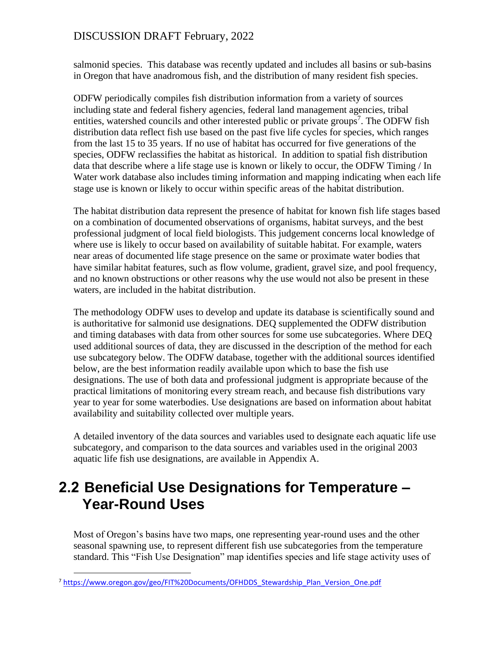salmonid species. This database was recently updated and includes all basins or sub-basins in Oregon that have anadromous fish, and the distribution of many resident fish species.

ODFW periodically compiles fish distribution information from a variety of sources including state and federal fishery agencies, federal land management agencies, tribal entities, watershed councils and other interested public or private groups<sup>7</sup>. The ODFW fish distribution data reflect fish use based on the past five life cycles for species, which ranges from the last 15 to 35 years. If no use of habitat has occurred for five generations of the species, ODFW reclassifies the habitat as historical. In addition to spatial fish distribution data that describe where a life stage use is known or likely to occur, the ODFW Timing / In Water work database also includes timing information and mapping indicating when each life stage use is known or likely to occur within specific areas of the habitat distribution.

The habitat distribution data represent the presence of habitat for known fish life stages based on a combination of documented observations of organisms, habitat surveys, and the best professional judgment of local field biologists. This judgement concerns local knowledge of where use is likely to occur based on availability of suitable habitat. For example, waters near areas of documented life stage presence on the same or proximate water bodies that have similar habitat features, such as flow volume, gradient, gravel size, and pool frequency, and no known obstructions or other reasons why the use would not also be present in these waters, are included in the habitat distribution.

The methodology ODFW uses to develop and update its database is scientifically sound and is authoritative for salmonid use designations. DEQ supplemented the ODFW distribution and timing databases with data from other sources for some use subcategories. Where DEQ used additional sources of data, they are discussed in the description of the method for each use subcategory below. The ODFW database, together with the additional sources identified below, are the best information readily available upon which to base the fish use designations. The use of both data and professional judgment is appropriate because of the practical limitations of monitoring every stream reach, and because fish distributions vary year to year for some waterbodies. Use designations are based on information about habitat availability and suitability collected over multiple years.

A detailed inventory of the data sources and variables used to designate each aquatic life use subcategory, and comparison to the data sources and variables used in the original 2003 aquatic life fish use designations, are available in Appendix A.

# <span id="page-7-0"></span>**2.2 Beneficial Use Designations for Temperature – Year-Round Uses**

Most of Oregon's basins have two maps, one representing year-round uses and the other seasonal spawning use, to represent different fish use subcategories from the temperature standard. This "Fish Use Designation" map identifies species and life stage activity uses of

<sup>7</sup> [https://www.oregon.gov/geo/FIT%20Documents/OFHDDS\\_Stewardship\\_Plan\\_Version\\_One.pdf](https://www.oregon.gov/geo/FIT%20Documents/OFHDDS_Stewardship_Plan_Version_One.pdf)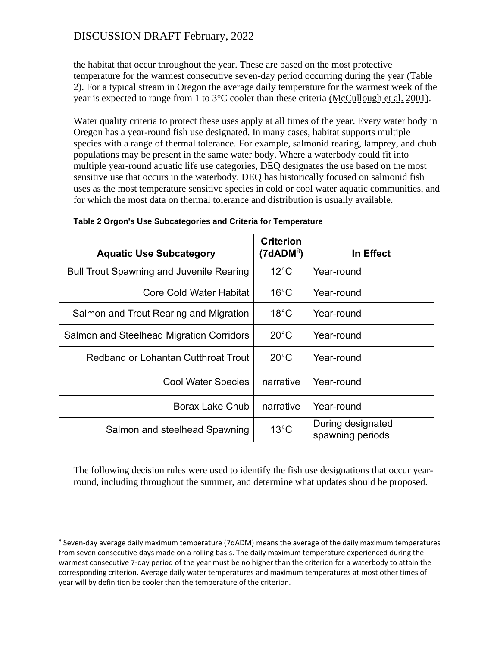the habitat that occur throughout the year. These are based on the most protective temperature for the warmest consecutive seven-day period occurring during the year [\(Table](#page-8-0)  [2\)](#page-8-0). For a typical stream in Oregon the average daily temperature for the warmest week of the year is expected to range from 1 to  $3^{\circ}$ C cooler than these criteria (McCullough et al. 2001).

Water quality criteria to protect these uses apply at all times of the year. Every water body in Oregon has a year-round fish use designated. In many cases, habitat supports multiple species with a range of thermal tolerance. For example, salmonid rearing, lamprey, and chub populations may be present in the same water body. Where a waterbody could fit into multiple year-round aquatic life use categories, DEQ designates the use based on the most sensitive use that occurs in the waterbody. DEQ has historically focused on salmonid fish uses as the most temperature sensitive species in cold or cool water aquatic communities, and for which the most data on thermal tolerance and distribution is usually available.

<span id="page-8-0"></span>

| <b>Aquatic Use Subcategory</b>                  | <b>Criterion</b><br>(7dADM <sup>8</sup> ) | In Effect                             |
|-------------------------------------------------|-------------------------------------------|---------------------------------------|
| <b>Bull Trout Spawning and Juvenile Rearing</b> | $12^{\circ}$ C                            | Year-round                            |
| <b>Core Cold Water Habitat</b>                  | $16^{\circ}$ C                            | Year-round                            |
| Salmon and Trout Rearing and Migration          | $18^{\circ}$ C                            | Year-round                            |
| <b>Salmon and Steelhead Migration Corridors</b> | $20^{\circ}$ C                            | Year-round                            |
| Redband or Lohantan Cutthroat Trout             | $20^{\circ}$ C                            | Year-round                            |
| <b>Cool Water Species</b>                       | narrative                                 | Year-round                            |
| <b>Borax Lake Chub</b>                          | narrative                                 | Year-round                            |
| Salmon and steelhead Spawning                   | $13^{\circ}$ C                            | During designated<br>spawning periods |

**Table 2 Orgon's Use Subcategories and Criteria for Temperature**

The following decision rules were used to identify the fish use designations that occur yearround, including throughout the summer, and determine what updates should be proposed.

<sup>&</sup>lt;sup>8</sup> Seven-day average daily maximum temperature (7dADM) means the average of the daily maximum temperatures from seven consecutive days made on a rolling basis. The daily maximum temperature experienced during the warmest consecutive 7-day period of the year must be no higher than the criterion for a waterbody to attain the corresponding criterion. Average daily water temperatures and maximum temperatures at most other times of year will by definition be cooler than the temperature of the criterion.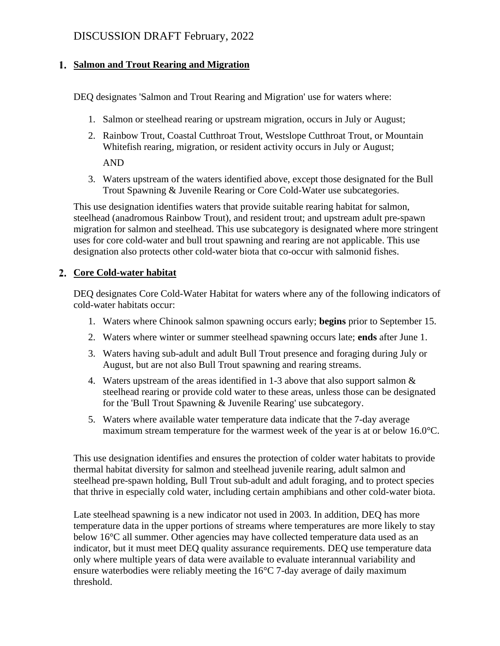#### **Salmon and Trout Rearing and Migration**

DEQ designates 'Salmon and Trout Rearing and Migration' use for waters where:

- 1. Salmon or steelhead rearing or upstream migration, occurs in July or August;
- 2. Rainbow Trout, Coastal Cutthroat Trout, Westslope Cutthroat Trout, or Mountain Whitefish rearing, migration, or resident activity occurs in July or August;

AND

3. Waters upstream of the waters identified above, except those designated for the Bull Trout Spawning & Juvenile Rearing or Core Cold-Water use subcategories.

This use designation identifies waters that provide suitable rearing habitat for salmon, steelhead (anadromous Rainbow Trout), and resident trout; and upstream adult pre-spawn migration for salmon and steelhead. This use subcategory is designated where more stringent uses for core cold-water and bull trout spawning and rearing are not applicable. This use designation also protects other cold-water biota that co-occur with salmonid fishes.

### **Core Cold-water habitat**

DEQ designates Core Cold-Water Habitat for waters where any of the following indicators of cold-water habitats occur:

- 1. Waters where Chinook salmon spawning occurs early; **begins** prior to September 15.
- 2. Waters where winter or summer steelhead spawning occurs late; **ends** after June 1.
- 3. Waters having sub-adult and adult Bull Trout presence and foraging during July or August, but are not also Bull Trout spawning and rearing streams.
- 4. Waters upstream of the areas identified in 1-3 above that also support salmon & steelhead rearing or provide cold water to these areas, unless those can be designated for the 'Bull Trout Spawning & Juvenile Rearing' use subcategory.
- 5. Waters where available water temperature data indicate that the 7-day average maximum stream temperature for the warmest week of the year is at or below 16.0°C.

This use designation identifies and ensures the protection of colder water habitats to provide thermal habitat diversity for salmon and steelhead juvenile rearing, adult salmon and steelhead pre-spawn holding, Bull Trout sub-adult and adult foraging, and to protect species that thrive in especially cold water, including certain amphibians and other cold-water biota.

Late steelhead spawning is a new indicator not used in 2003. In addition, DEQ has more temperature data in the upper portions of streams where temperatures are more likely to stay below 16°C all summer. Other agencies may have collected temperature data used as an indicator, but it must meet DEQ quality assurance requirements. DEQ use temperature data only where multiple years of data were available to evaluate interannual variability and ensure waterbodies were reliably meeting the 16°C 7-day average of daily maximum threshold.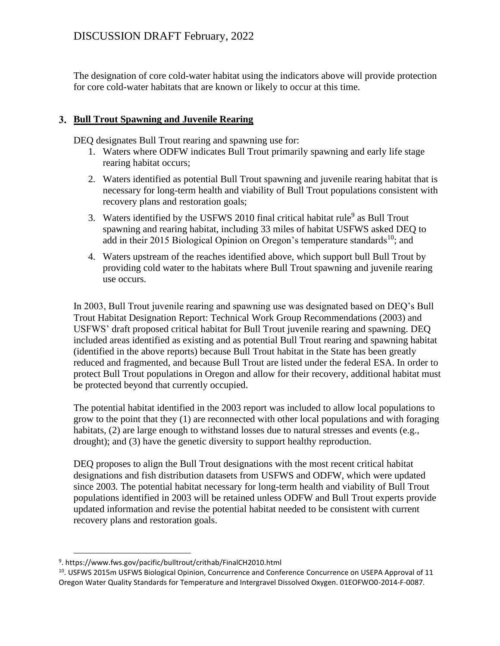The designation of core cold-water habitat using the indicators above will provide protection for core cold-water habitats that are known or likely to occur at this time.

#### **Bull Trout Spawning and Juvenile Rearing**

DEQ designates Bull Trout rearing and spawning use for:

- 1. Waters where ODFW indicates Bull Trout primarily spawning and early life stage rearing habitat occurs;
- 2. Waters identified as potential Bull Trout spawning and juvenile rearing habitat that is necessary for long-term health and viability of Bull Trout populations consistent with recovery plans and restoration goals;
- 3. Waters identified by the USFWS 2010 final critical habitat rule<sup>9</sup> as Bull Trout spawning and rearing habitat, including 33 miles of habitat USFWS asked DEQ to add in their 2015 Biological Opinion on Oregon's temperature standards<sup>10</sup>; and
- 4. Waters upstream of the reaches identified above, which support bull Bull Trout by providing cold water to the habitats where Bull Trout spawning and juvenile rearing use occurs.

In 2003, Bull Trout juvenile rearing and spawning use was designated based on DEQ's Bull Trout Habitat Designation Report: Technical Work Group Recommendations (2003) and USFWS' draft proposed critical habitat for Bull Trout juvenile rearing and spawning. DEQ included areas identified as existing and as potential Bull Trout rearing and spawning habitat (identified in the above reports) because Bull Trout habitat in the State has been greatly reduced and fragmented, and because Bull Trout are listed under the federal ESA. In order to protect Bull Trout populations in Oregon and allow for their recovery, additional habitat must be protected beyond that currently occupied.

The potential habitat identified in the 2003 report was included to allow local populations to grow to the point that they (1) are reconnected with other local populations and with foraging habitats, (2) are large enough to withstand losses due to natural stresses and events (e.g., drought); and (3) have the genetic diversity to support healthy reproduction.

DEQ proposes to align the Bull Trout designations with the most recent critical habitat designations and fish distribution datasets from USFWS and ODFW, which were updated since 2003. The potential habitat necessary for long-term health and viability of Bull Trout populations identified in 2003 will be retained unless ODFW and Bull Trout experts provide updated information and revise the potential habitat needed to be consistent with current recovery plans and restoration goals.

<sup>9</sup> . https://www.fws.gov/pacific/bulltrout/crithab/FinalCH2010.html

<sup>10</sup>. USFWS 2015m USFWS Biological Opinion, Concurrence and Conference Concurrence on USEPA Approval of 11 Oregon Water Quality Standards for Temperature and Intergravel Dissolved Oxygen. 01EOFWO0-2014-F-0087.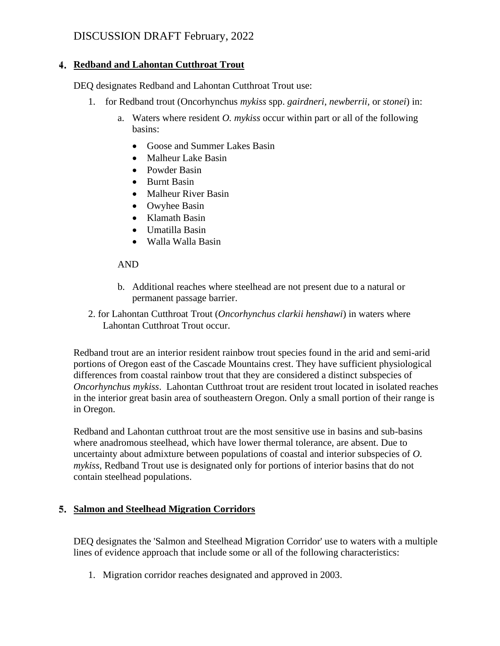#### **Redband and Lahontan Cutthroat Trout**

DEQ designates Redband and Lahontan Cutthroat Trout use:

- 1. for Redband trout (Oncorhynchus *mykiss* spp. *gairdneri*, *newberrii,* or *stonei*) in:
	- a. Waters where resident *O. mykiss* occur within part or all of the following basins:
		- Goose and Summer Lakes Basin
		- Malheur Lake Basin
		- Powder Basin
		- Burnt Basin
		- Malheur River Basin
		- Owyhee Basin
		- Klamath Basin
		- Umatilla Basin
		- Walla Walla Basin

#### AND

- b. Additional reaches where steelhead are not present due to a natural or permanent passage barrier.
- 2. for Lahontan Cutthroat Trout (*Oncorhynchus clarkii henshawi*) in waters where Lahontan Cutthroat Trout occur.

Redband trout are an interior resident rainbow trout species found in the arid and semi-arid portions of Oregon east of the Cascade Mountains crest. They have sufficient physiological differences from coastal rainbow trout that they are considered a distinct subspecies of *Oncorhynchus mykiss*. Lahontan Cutthroat trout are resident trout located in isolated reaches in the interior great basin area of southeastern Oregon. Only a small portion of their range is in Oregon.

Redband and Lahontan cutthroat trout are the most sensitive use in basins and sub-basins where anadromous steelhead, which have lower thermal tolerance, are absent. Due to uncertainty about admixture between populations of coastal and interior subspecies of *O. mykiss*, Redband Trout use is designated only for portions of interior basins that do not contain steelhead populations.

### **Salmon and Steelhead Migration Corridors**

DEQ designates the 'Salmon and Steelhead Migration Corridor' use to waters with a multiple lines of evidence approach that include some or all of the following characteristics:

1. Migration corridor reaches designated and approved in 2003.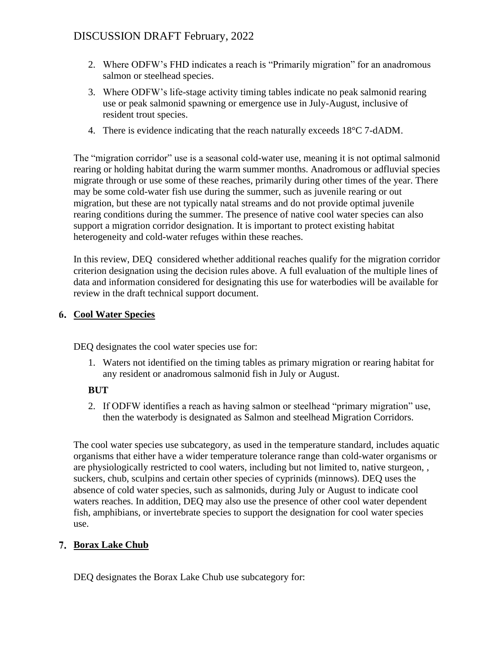- 2. Where ODFW's FHD indicates a reach is "Primarily migration" for an anadromous salmon or steelhead species.
- 3. Where ODFW's life-stage activity timing tables indicate no peak salmonid rearing use or peak salmonid spawning or emergence use in July-August, inclusive of resident trout species.
- 4. There is evidence indicating that the reach naturally exceeds 18°C 7-dADM.

The "migration corridor" use is a seasonal cold-water use, meaning it is not optimal salmonid rearing or holding habitat during the warm summer months. Anadromous or adfluvial species migrate through or use some of these reaches, primarily during other times of the year. There may be some cold-water fish use during the summer, such as juvenile rearing or out migration, but these are not typically natal streams and do not provide optimal juvenile rearing conditions during the summer. The presence of native cool water species can also support a migration corridor designation. It is important to protect existing habitat heterogeneity and cold-water refuges within these reaches.

In this review, DEQ considered whether additional reaches qualify for the migration corridor criterion designation using the decision rules above. A full evaluation of the multiple lines of data and information considered for designating this use for waterbodies will be available for review in the draft technical support document.

#### **Cool Water Species**

DEQ designates the cool water species use for:

1. Waters not identified on the timing tables as primary migration or rearing habitat for any resident or anadromous salmonid fish in July or August.

#### **BUT**

2. If ODFW identifies a reach as having salmon or steelhead "primary migration" use, then the waterbody is designated as Salmon and steelhead Migration Corridors.

The cool water species use subcategory, as used in the temperature standard, includes aquatic organisms that either have a wider temperature tolerance range than cold-water organisms or are physiologically restricted to cool waters, including but not limited to, native sturgeon, , suckers, chub, sculpins and certain other species of cyprinids (minnows). DEQ uses the absence of cold water species, such as salmonids, during July or August to indicate cool waters reaches. In addition, DEQ may also use the presence of other cool water dependent fish, amphibians, or invertebrate species to support the designation for cool water species use.

#### **Borax Lake Chub**

DEQ designates the Borax Lake Chub use subcategory for: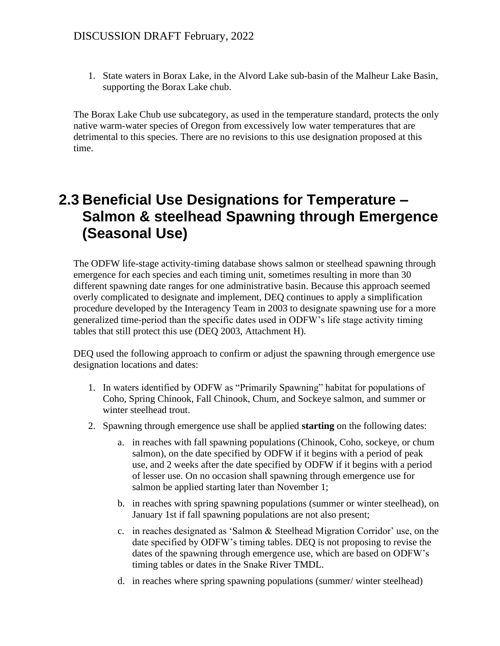1. State waters in Borax Lake, in the Alvord Lake sub-basin of the Malheur Lake Basin, supporting the Borax Lake chub.

The Borax Lake Chub use subcategory, as used in the temperature standard, protects the only native warm-water species of Oregon from excessively low water temperatures that are detrimental to this species. There are no revisions to this use designation proposed at this time.

# <span id="page-13-0"></span>**2.3 Beneficial Use Designations for Temperature – Salmon & steelhead Spawning through Emergence (Seasonal Use)**

The ODFW life-stage activity-timing database shows salmon or steelhead spawning through emergence for each species and each timing unit, sometimes resulting in more than 30 different spawning date ranges for one administrative basin. Because this approach seemed overly complicated to designate and implement, DEQ continues to apply a simplification procedure developed by the Interagency Team in 2003 to designate spawning use for a more generalized time-period than the specific dates used in ODFW's life stage activity timing tables that still protect this use (DEQ 2003, Attachment H).

DEQ used the following approach to confirm or adjust the spawning through emergence use designation locations and dates:

- 1. In waters identified by ODFW as "Primarily Spawning" habitat for populations of Coho, Spring Chinook, Fall Chinook, Chum, and Sockeye salmon, and summer or winter steelhead trout.
- 2. Spawning through emergence use shall be applied **starting** on the following dates:
	- a. in reaches with fall spawning populations (Chinook, Coho, sockeye, or chum salmon), on the date specified by ODFW if it begins with a period of peak use, and 2 weeks after the date specified by ODFW if it begins with a period of lesser use. On no occasion shall spawning through emergence use for salmon be applied starting later than November 1;
	- b. in reaches with spring spawning populations (summer or winter steelhead), on January 1st if fall spawning populations are not also present;
	- c. in reaches designated as 'Salmon & Steelhead Migration Corridor' use, on the date specified by ODFW's timing tables. DEQ is not proposing to revise the dates of the spawning through emergence use, which are based on ODFW's timing tables or dates in the Snake River TMDL.
	- d. in reaches where spring spawning populations (summer/ winter steelhead)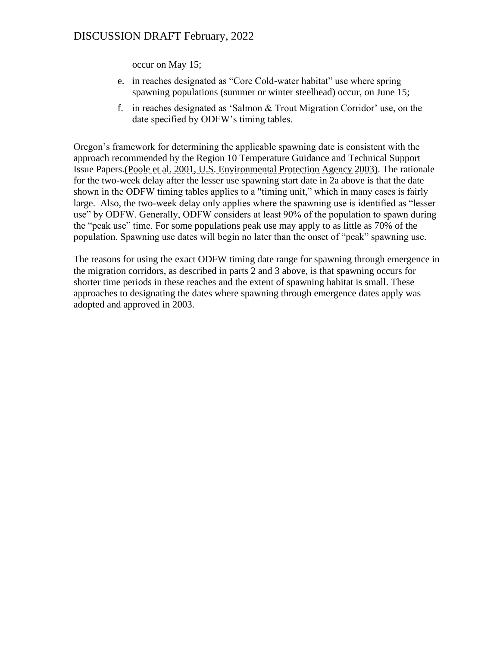occur on May 15;

- e. in reaches designated as "Core Cold-water habitat" use where spring spawning populations (summer or winter steelhead) occur, on June 15;
- f. in reaches designated as 'Salmon & Trout Migration Corridor' use, on the date specified by ODFW's timing tables.

Oregon's framework for determining the applicable spawning date is consistent with the approach recommended by the Region 10 Temperature Guidance and Technical Support Issue Papers.(Poole et al. 2001, U.S. Environmental Protection Agency 2003). The rationale for the two-week delay after the lesser use spawning start date in 2a above is that the date shown in the ODFW timing tables applies to a "timing unit," which in many cases is fairly large. Also, the two-week delay only applies where the spawning use is identified as "lesser use" by ODFW. Generally, ODFW considers at least 90% of the population to spawn during the "peak use" time. For some populations peak use may apply to as little as 70% of the population. Spawning use dates will begin no later than the onset of "peak" spawning use.

The reasons for using the exact ODFW timing date range for spawning through emergence in the migration corridors, as described in parts 2 and 3 above, is that spawning occurs for shorter time periods in these reaches and the extent of spawning habitat is small. These approaches to designating the dates where spawning through emergence dates apply was adopted and approved in 2003.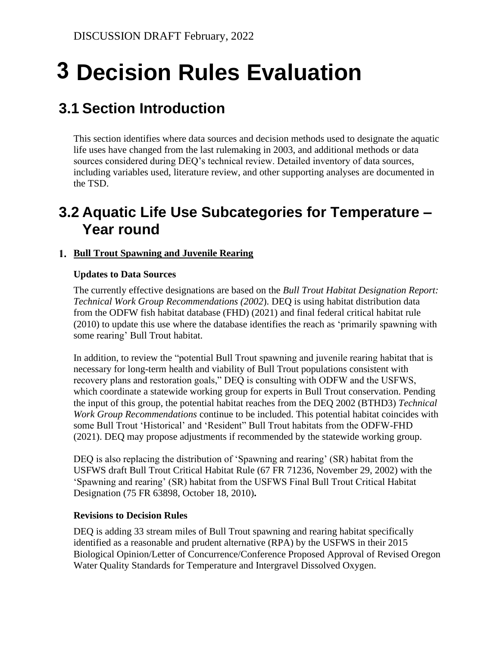# <span id="page-15-0"></span>**Decision Rules Evaluation 3**

# <span id="page-15-1"></span>**3.1 Section Introduction**

This section identifies where data sources and decision methods used to designate the aquatic life uses have changed from the last rulemaking in 2003, and additional methods or data sources considered during DEQ's technical review. Detailed inventory of data sources, including variables used, literature review, and other supporting analyses are documented in the TSD.

# <span id="page-15-2"></span>**3.2 Aquatic Life Use Subcategories for Temperature – Year round**

### **Bull Trout Spawning and Juvenile Rearing**

#### **Updates to Data Sources**

The currently effective designations are based on the *Bull Trout Habitat Designation Report: Technical Work Group Recommendations (2002*). DEQ is using habitat distribution data from the ODFW fish habitat database (FHD) (2021) and final federal critical habitat rule (2010) to update this use where the database identifies the reach as 'primarily spawning with some rearing' Bull Trout habitat.

In addition, to review the "potential Bull Trout spawning and juvenile rearing habitat that is necessary for long-term health and viability of Bull Trout populations consistent with recovery plans and restoration goals," DEQ is consulting with ODFW and the USFWS, which coordinate a statewide working group for experts in Bull Trout conservation. Pending the input of this group, the potential habitat reaches from the DEQ 2002 (BTHD3) *Technical Work Group Recommendations* continue to be included. This potential habitat coincides with some Bull Trout 'Historical' and 'Resident" Bull Trout habitats from the ODFW-FHD (2021). DEQ may propose adjustments if recommended by the statewide working group.

DEQ is also replacing the distribution of 'Spawning and rearing' (SR) habitat from the USFWS draft Bull Trout Critical Habitat Rule (67 FR 71236, November 29, 2002) with the 'Spawning and rearing' (SR) habitat from the USFWS Final Bull Trout Critical Habitat Designation (75 FR 63898, October 18, 2010)**.**

#### **Revisions to Decision Rules**

DEQ is adding 33 stream miles of Bull Trout spawning and rearing habitat specifically identified as a reasonable and prudent alternative (RPA) by the USFWS in their 2015 Biological Opinion/Letter of Concurrence/Conference Proposed Approval of Revised Oregon Water Quality Standards for Temperature and Intergravel Dissolved Oxygen.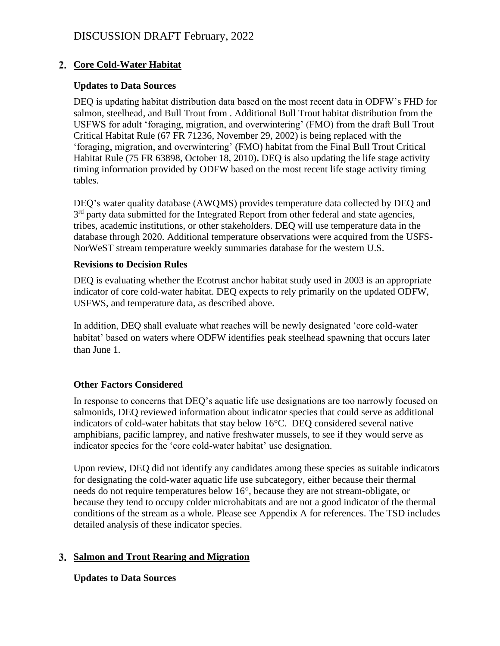#### **Core Cold-Water Habitat**

#### **Updates to Data Sources**

DEQ is updating habitat distribution data based on the most recent data in ODFW's FHD for salmon, steelhead, and Bull Trout from . Additional Bull Trout habitat distribution from the USFWS for adult 'foraging, migration, and overwintering' (FMO) from the draft Bull Trout Critical Habitat Rule (67 FR 71236, November 29, 2002) is being replaced with the 'foraging, migration, and overwintering' (FMO) habitat from the Final Bull Trout Critical Habitat Rule (75 FR 63898, October 18, 2010)**.** DEQ is also updating the life stage activity timing information provided by ODFW based on the most recent life stage activity timing tables.

DEQ's water quality database (AWQMS) provides temperature data collected by DEQ and 3<sup>rd</sup> party data submitted for the Integrated Report from other federal and state agencies, tribes, academic institutions, or other stakeholders. DEQ will use temperature data in the database through 2020. Additional temperature observations were acquired from the USFS-NorWeST stream temperature weekly summaries database for the western U.S.

#### **Revisions to Decision Rules**

DEQ is evaluating whether the Ecotrust anchor habitat study used in 2003 is an appropriate indicator of core cold-water habitat. DEQ expects to rely primarily on the updated ODFW, USFWS, and temperature data, as described above.

In addition, DEQ shall evaluate what reaches will be newly designated 'core cold-water habitat' based on waters where ODFW identifies peak steelhead spawning that occurs later than June 1.

#### **Other Factors Considered**

In response to concerns that DEQ's aquatic life use designations are too narrowly focused on salmonids, DEQ reviewed information about indicator species that could serve as additional indicators of cold-water habitats that stay below 16°C. DEQ considered several native amphibians, pacific lamprey, and native freshwater mussels, to see if they would serve as indicator species for the 'core cold-water habitat' use designation.

Upon review, DEQ did not identify any candidates among these species as suitable indicators for designating the cold-water aquatic life use subcategory, either because their thermal needs do not require temperatures below 16°, because they are not stream-obligate, or because they tend to occupy colder microhabitats and are not a good indicator of the thermal conditions of the stream as a whole. Please see Appendix A for references. The TSD includes detailed analysis of these indicator species.

#### **Salmon and Trout Rearing and Migration**

**Updates to Data Sources**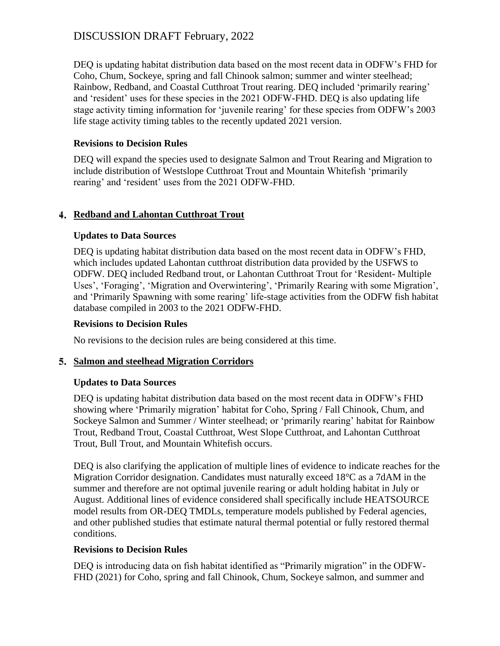DEQ is updating habitat distribution data based on the most recent data in ODFW's FHD for Coho, Chum, Sockeye, spring and fall Chinook salmon; summer and winter steelhead; Rainbow, Redband, and Coastal Cutthroat Trout rearing. DEQ included 'primarily rearing' and 'resident' uses for these species in the 2021 ODFW-FHD. DEQ is also updating life stage activity timing information for 'juvenile rearing' for these species from ODFW's 2003 life stage activity timing tables to the recently updated 2021 version.

#### **Revisions to Decision Rules**

DEQ will expand the species used to designate Salmon and Trout Rearing and Migration to include distribution of Westslope Cutthroat Trout and Mountain Whitefish 'primarily rearing' and 'resident' uses from the 2021 ODFW-FHD.

#### **Redband and Lahontan Cutthroat Trout**

#### **Updates to Data Sources**

DEQ is updating habitat distribution data based on the most recent data in ODFW's FHD, which includes updated Lahontan cutthroat distribution data provided by the USFWS to ODFW. DEQ included Redband trout, or Lahontan Cutthroat Trout for 'Resident- Multiple Uses', 'Foraging', 'Migration and Overwintering', 'Primarily Rearing with some Migration', and 'Primarily Spawning with some rearing' life-stage activities from the ODFW fish habitat database compiled in 2003 to the 2021 ODFW-FHD.

#### **Revisions to Decision Rules**

No revisions to the decision rules are being considered at this time.

#### **Salmon and steelhead Migration Corridors**

#### **Updates to Data Sources**

DEQ is updating habitat distribution data based on the most recent data in ODFW's FHD showing where 'Primarily migration' habitat for Coho, Spring / Fall Chinook, Chum, and Sockeye Salmon and Summer / Winter steelhead; or 'primarily rearing' habitat for Rainbow Trout, Redband Trout, Coastal Cutthroat, West Slope Cutthroat, and Lahontan Cutthroat Trout, Bull Trout, and Mountain Whitefish occurs.

DEQ is also clarifying the application of multiple lines of evidence to indicate reaches for the Migration Corridor designation. Candidates must naturally exceed  $18^{\circ}$ C as a 7dAM in the summer and therefore are not optimal juvenile rearing or adult holding habitat in July or August. Additional lines of evidence considered shall specifically include HEATSOURCE model results from OR-DEQ TMDLs, temperature models published by Federal agencies, and other published studies that estimate natural thermal potential or fully restored thermal conditions.

### **Revisions to Decision Rules**

DEQ is introducing data on fish habitat identified as "Primarily migration" in the ODFW-FHD (2021) for Coho, spring and fall Chinook, Chum, Sockeye salmon, and summer and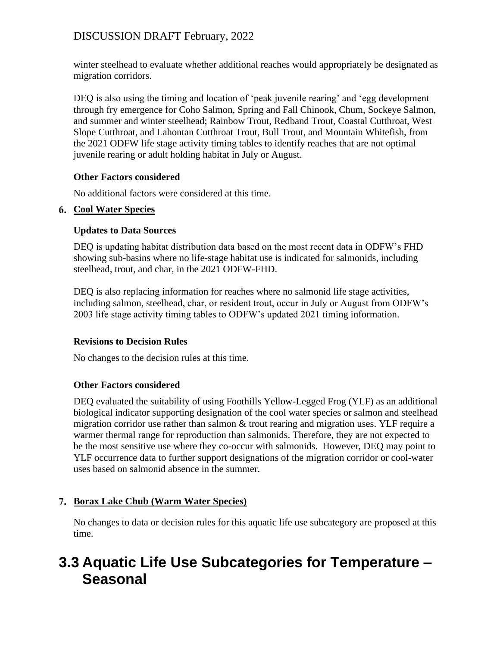winter steelhead to evaluate whether additional reaches would appropriately be designated as migration corridors.

DEQ is also using the timing and location of 'peak juvenile rearing' and 'egg development through fry emergence for Coho Salmon, Spring and Fall Chinook, Chum, Sockeye Salmon, and summer and winter steelhead; Rainbow Trout, Redband Trout, Coastal Cutthroat, West Slope Cutthroat, and Lahontan Cutthroat Trout, Bull Trout, and Mountain Whitefish, from the 2021 ODFW life stage activity timing tables to identify reaches that are not optimal juvenile rearing or adult holding habitat in July or August.

#### **Other Factors considered**

No additional factors were considered at this time.

#### **Cool Water Species**

#### **Updates to Data Sources**

DEQ is updating habitat distribution data based on the most recent data in ODFW's FHD showing sub-basins where no life-stage habitat use is indicated for salmonids, including steelhead, trout, and char, in the 2021 ODFW-FHD.

DEQ is also replacing information for reaches where no salmonid life stage activities, including salmon, steelhead, char, or resident trout, occur in July or August from ODFW's 2003 life stage activity timing tables to ODFW's updated 2021 timing information.

#### **Revisions to Decision Rules**

No changes to the decision rules at this time.

#### **Other Factors considered**

DEQ evaluated the suitability of using Foothills Yellow-Legged Frog (YLF) as an additional biological indicator supporting designation of the cool water species or salmon and steelhead migration corridor use rather than salmon  $\&$  trout rearing and migration uses. YLF require a warmer thermal range for reproduction than salmonids. Therefore, they are not expected to be the most sensitive use where they co-occur with salmonids. However, DEQ may point to YLF occurrence data to further support designations of the migration corridor or cool-water uses based on salmonid absence in the summer.

### **Borax Lake Chub (Warm Water Species)**

No changes to data or decision rules for this aquatic life use subcategory are proposed at this time.

# <span id="page-18-0"></span>**3.3 Aquatic Life Use Subcategories for Temperature – Seasonal**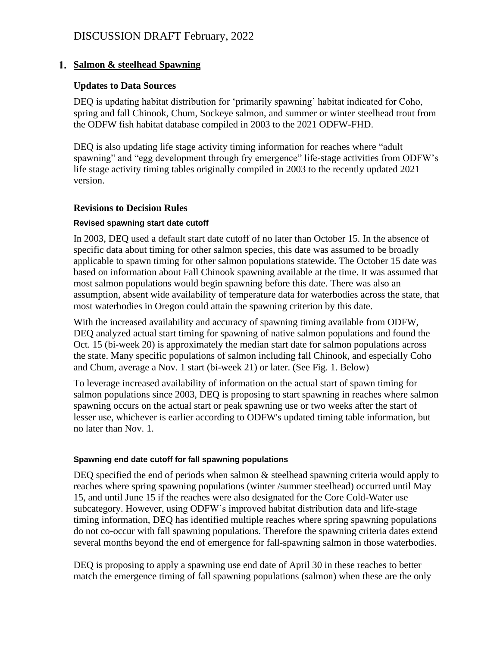#### **Salmon & steelhead Spawning**

#### **Updates to Data Sources**

DEQ is updating habitat distribution for 'primarily spawning' habitat indicated for Coho, spring and fall Chinook, Chum, Sockeye salmon, and summer or winter steelhead trout from the ODFW fish habitat database compiled in 2003 to the 2021 ODFW-FHD.

DEQ is also updating life stage activity timing information for reaches where "adult spawning" and "egg development through fry emergence" life-stage activities from ODFW's life stage activity timing tables originally compiled in 2003 to the recently updated 2021 version.

#### **Revisions to Decision Rules**

#### **Revised spawning start date cutoff**

In 2003, DEQ used a default start date cutoff of no later than October 15. In the absence of specific data about timing for other salmon species, this date was assumed to be broadly applicable to spawn timing for other salmon populations statewide. The October 15 date was based on information about Fall Chinook spawning available at the time. It was assumed that most salmon populations would begin spawning before this date. There was also an assumption, absent wide availability of temperature data for waterbodies across the state, that most waterbodies in Oregon could attain the spawning criterion by this date.

With the increased availability and accuracy of spawning timing available from ODFW, DEQ analyzed actual start timing for spawning of native salmon populations and found the Oct. 15 (bi-week 20) is approximately the median start date for salmon populations across the state. Many specific populations of salmon including fall Chinook, and especially Coho and Chum, average a Nov. 1 start (bi-week 21) or later. (See Fig. 1. Below)

To leverage increased availability of information on the actual start of spawn timing for salmon populations since 2003, DEQ is proposing to start spawning in reaches where salmon spawning occurs on the actual start or peak spawning use or two weeks after the start of lesser use, whichever is earlier according to ODFW's updated timing table information, but no later than Nov. 1.

#### **Spawning end date cutoff for fall spawning populations**

DEQ specified the end of periods when salmon & steelhead spawning criteria would apply to reaches where spring spawning populations (winter /summer steelhead) occurred until May 15, and until June 15 if the reaches were also designated for the Core Cold-Water use subcategory. However, using ODFW's improved habitat distribution data and life-stage timing information, DEQ has identified multiple reaches where spring spawning populations do not co-occur with fall spawning populations. Therefore the spawning criteria dates extend several months beyond the end of emergence for fall-spawning salmon in those waterbodies.

DEQ is proposing to apply a spawning use end date of April 30 in these reaches to better match the emergence timing of fall spawning populations (salmon) when these are the only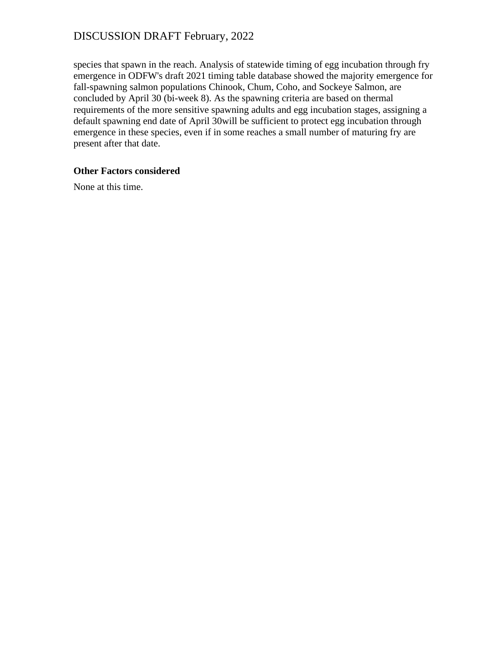species that spawn in the reach. Analysis of statewide timing of egg incubation through fry emergence in ODFW's draft 2021 timing table database showed the majority emergence for fall-spawning salmon populations Chinook, Chum, Coho, and Sockeye Salmon, are concluded by April 30 (bi-week 8). As the spawning criteria are based on thermal requirements of the more sensitive spawning adults and egg incubation stages, assigning a default spawning end date of April 30will be sufficient to protect egg incubation through emergence in these species, even if in some reaches a small number of maturing fry are present after that date.

#### **Other Factors considered**

None at this time.